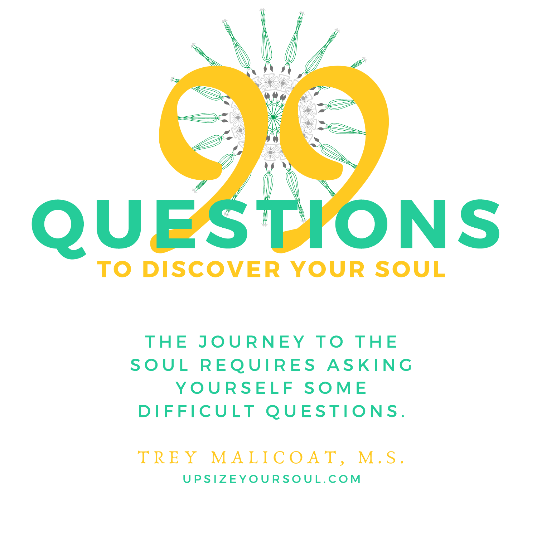

THE JOURNEY TO THE SOUL REQUIRES ASKING YOURSELF SOME DIFFICULT QUESTIONS.

TREY MALICOAT, M.S. U P S I Z E Y O U R S O U L . C O M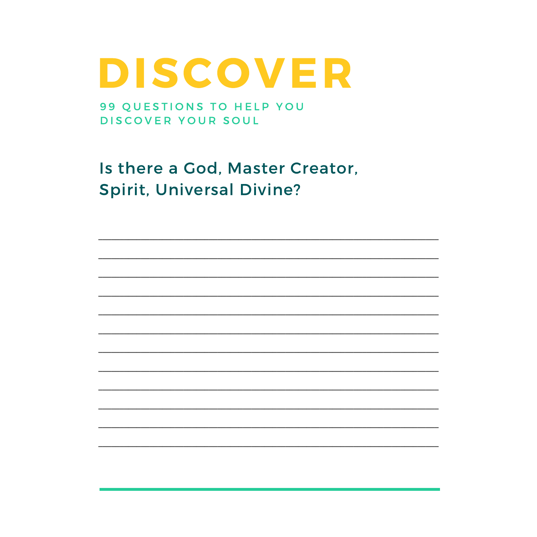99 QUESTIONS TO HELP YOU DISCOVER YOUR SOUL

Is there a God, Master Creator, **Spirit, Universal Divine?**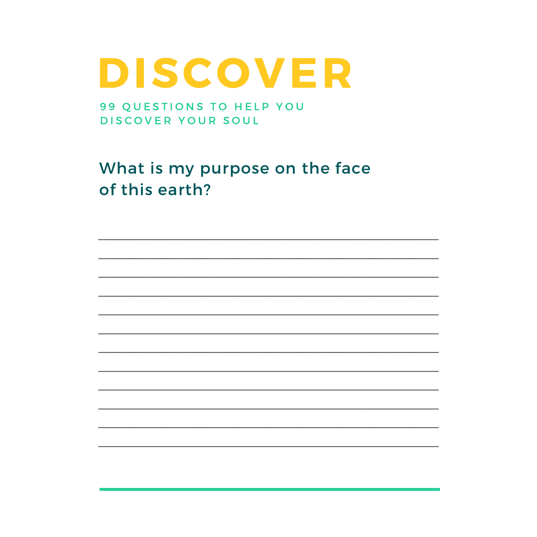99 QUESTIONS TO HELP YOU DISCOVER YOUR SOUL

What is my purpose on the face of this earth?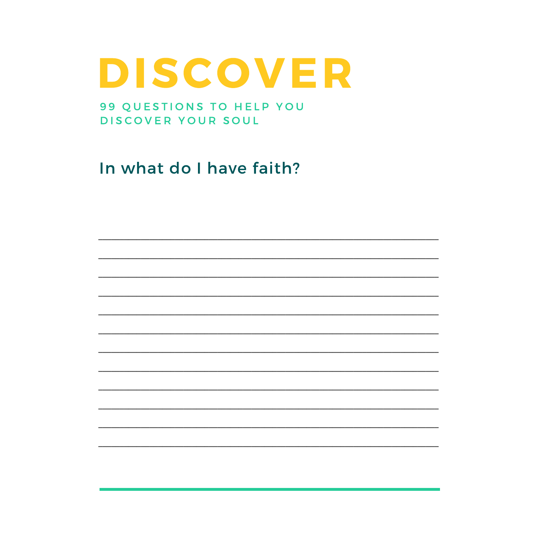99 QUESTIONS TO HELP YOU DISCOVER YOUR SOUL

In what do I have faith?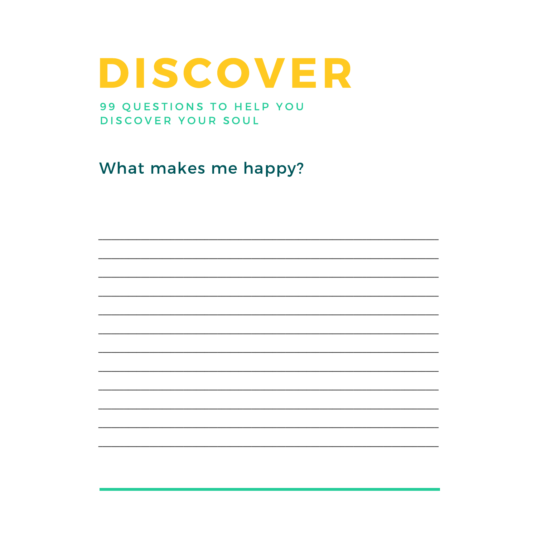99 QUESTIONS TO HELP YOU DISCOVER YOUR SOUL

What makes me happy?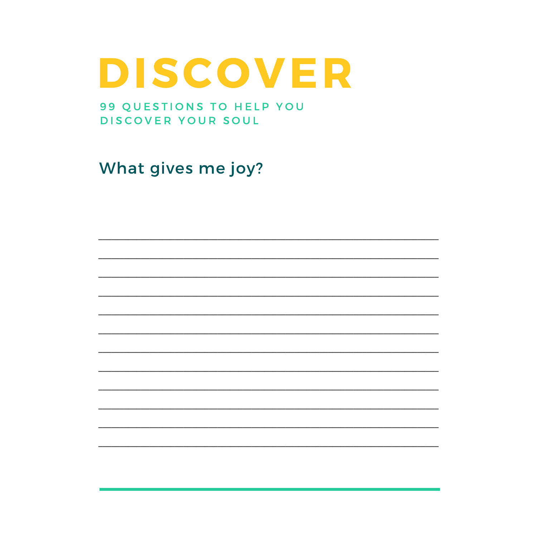99 QUESTIONS TO HELP YOU DISCOVER YOUR SOUL

What gives me joy?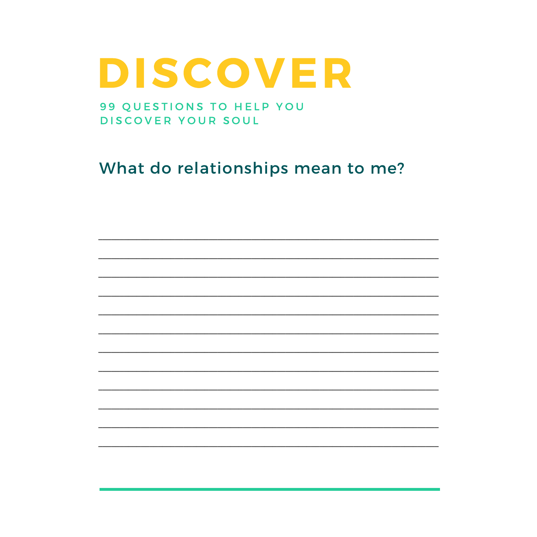99 QUESTIONS TO HELP YOU DISCOVER YOUR SOUL

What do relationships mean to me?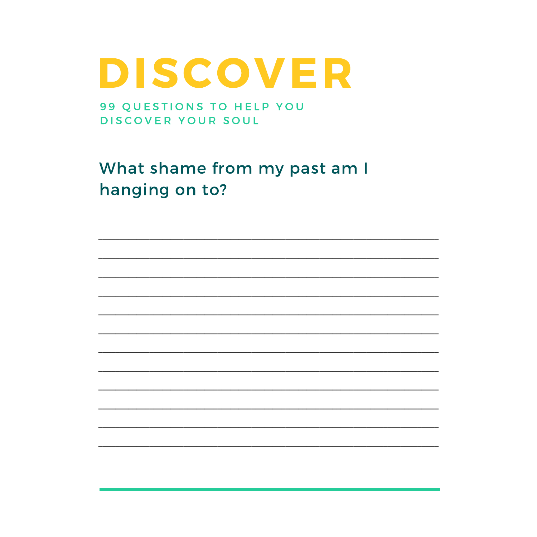99 QUESTIONS TO HELP YOU DISCOVER YOUR SOUL

What shame from my past am I hanging on to?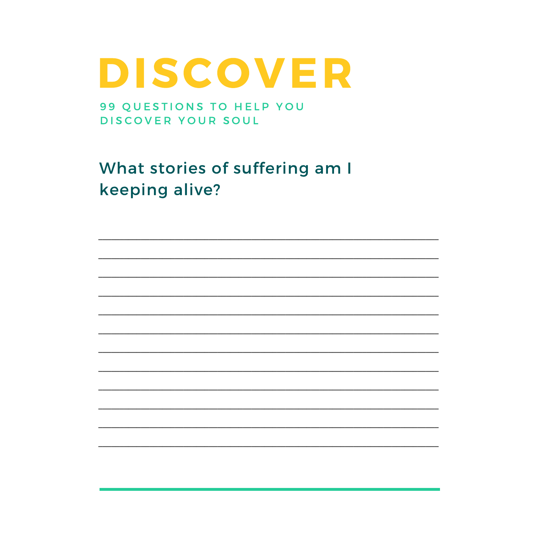99 QUESTIONS TO HELP YOU DISCOVER YOUR SOUL

What stories of suffering am I keeping alive?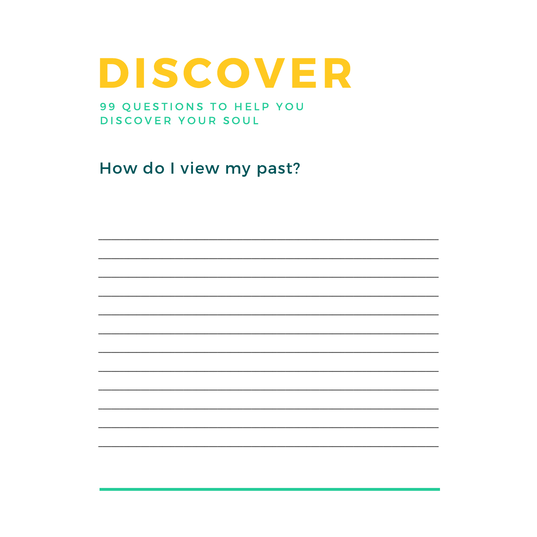99 QUESTIONS TO HELP YOU DISCOVER YOUR SOUL

How do I view my past?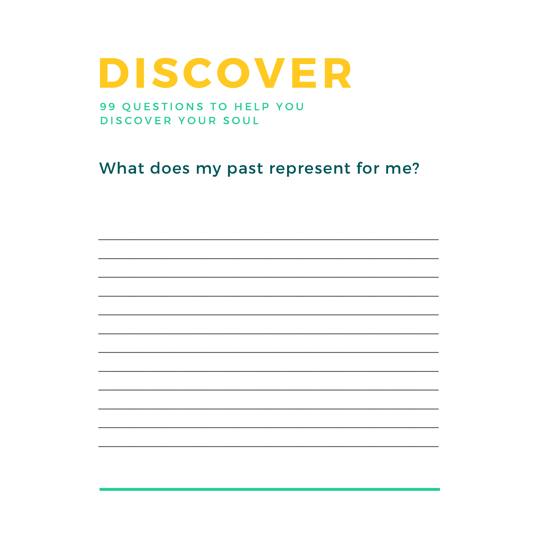99 QUESTIONS TO HELP YOU DISCOVER YOUR SOUL

What does my past represent for me?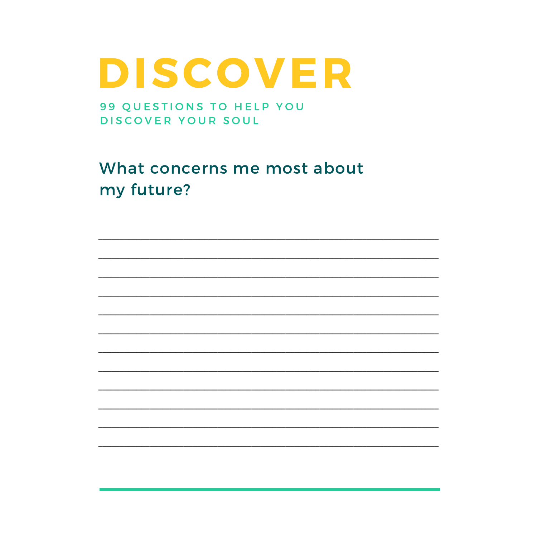99 QUESTIONS TO HELP YOU DISCOVER YOUR SOUL

What concerns me most about my future?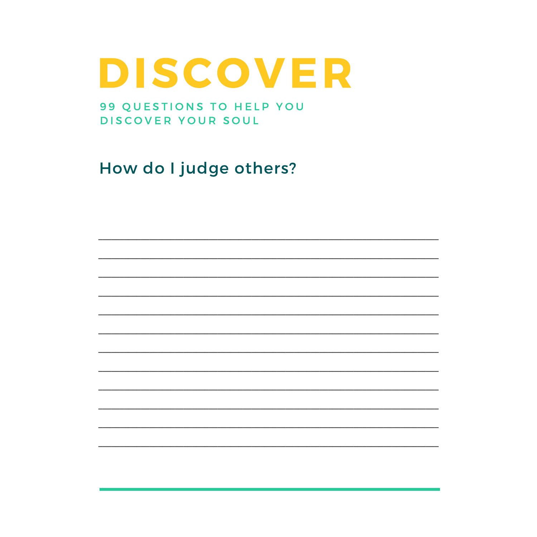99 QUESTIONS TO HELP YOU DISCOVER YOUR SOUL

How do I judge others?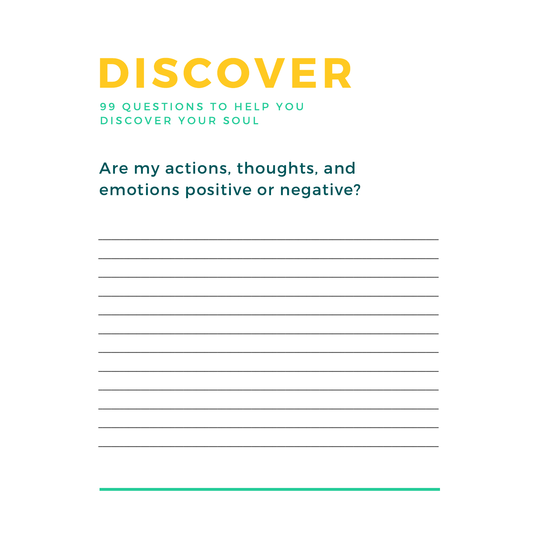99 QUESTIONS TO HELP YOU DISCOVER YOUR SOUL

Are my actions, thoughts, and emotions positive or negative?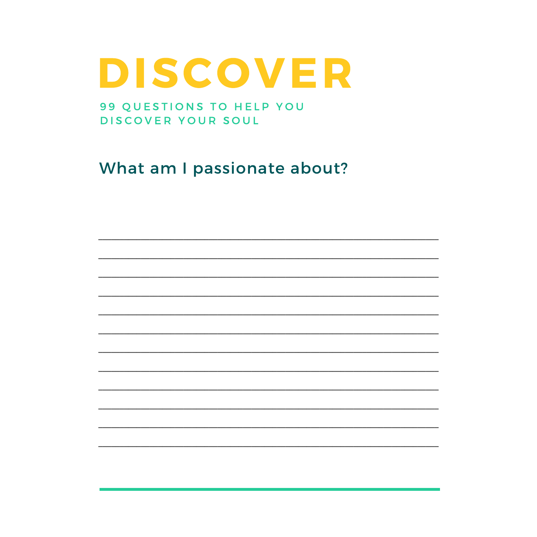99 QUESTIONS TO HELP YOU DISCOVER YOUR SOUL

What am I passionate about?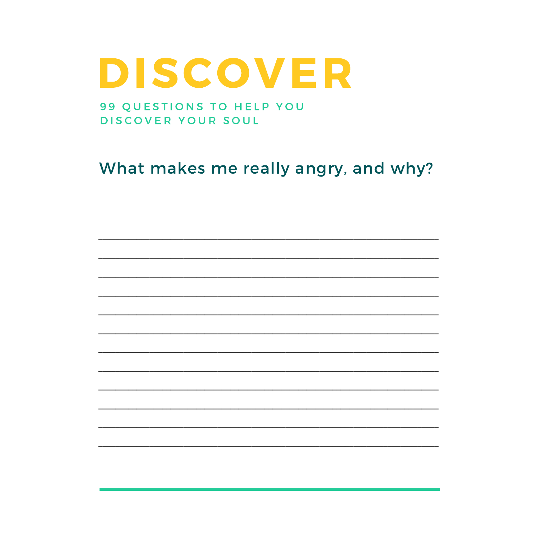99 QUESTIONS TO HELP YOU DISCOVER YOUR SOUL

What makes me really angry, and why?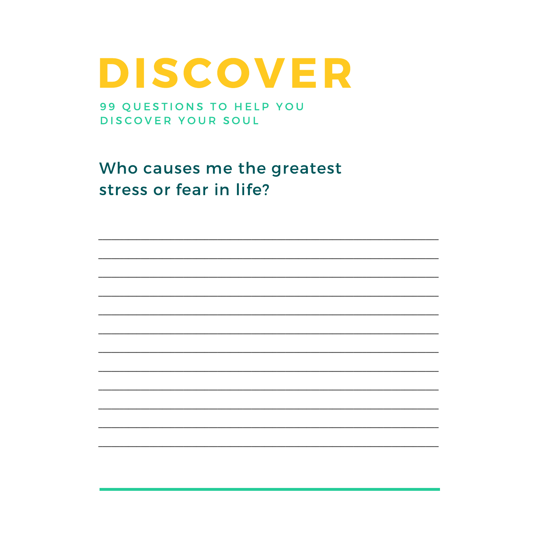99 QUESTIONS TO HELP YOU DISCOVER YOUR SOUL

Who causes me the greatest stress or fear in life?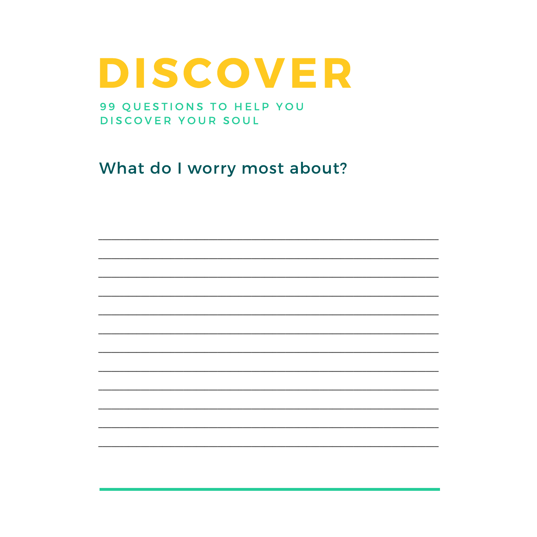#### 99 QUESTIONS TO HELP YOU DISCOVER YOUR SOUL

What do I worry most about?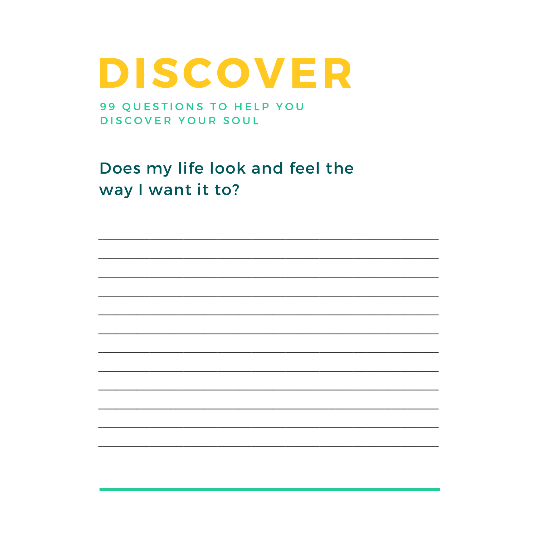99 QUESTIONS TO HELP YOU DISCOVER YOUR SOUL

Does my life look and feel the way I want it to?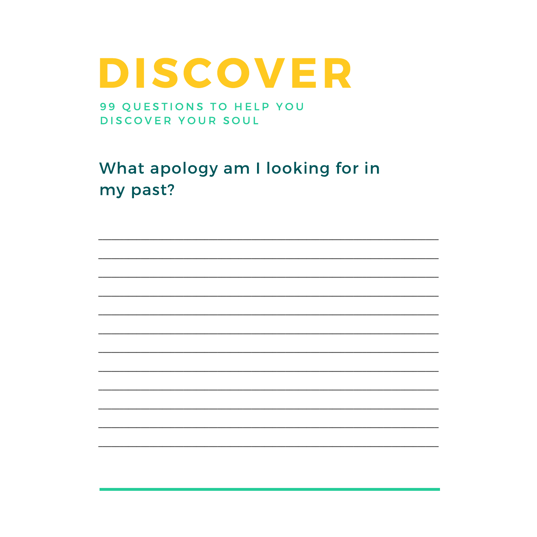99 QUESTIONS TO HELP YOU DISCOVER YOUR SOUL

What apology am I looking for in my past?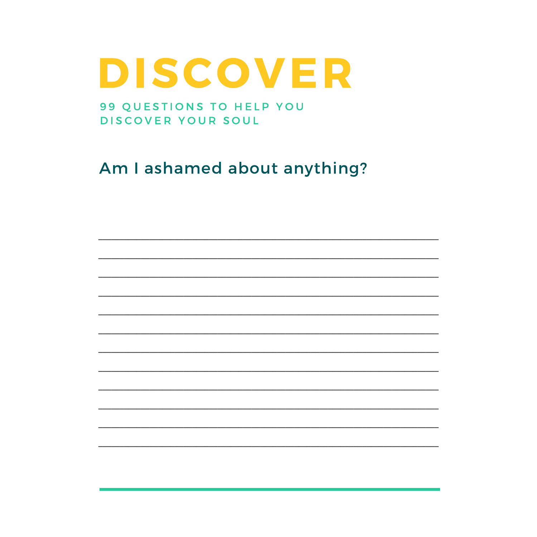99 QUESTIONS TO HELP YOU DISCOVER YOUR SOUL

Am I ashamed about anything?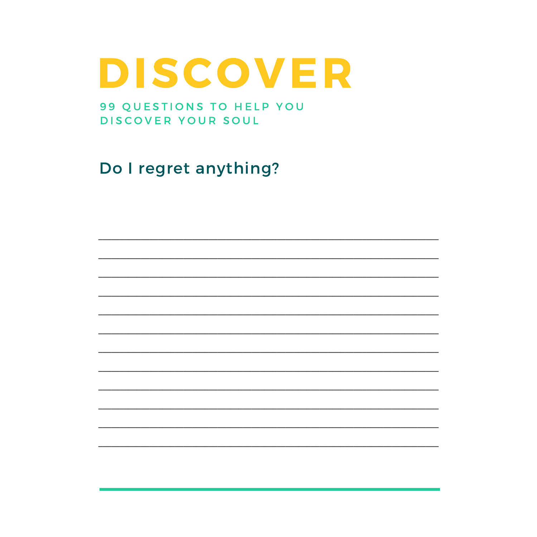99 QUESTIONS TO HELP YOU DISCOVER YOUR SOUL

Do I regret anything?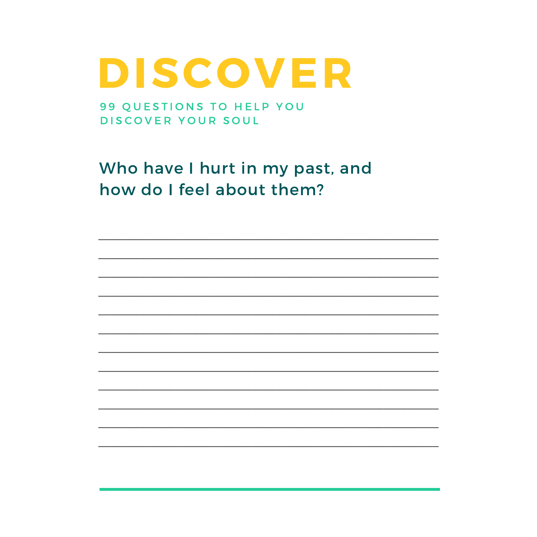99 QUESTIONS TO HELP YOU DISCOVER YOUR SOUL

Who have I hurt in my past, and how do I feel about them?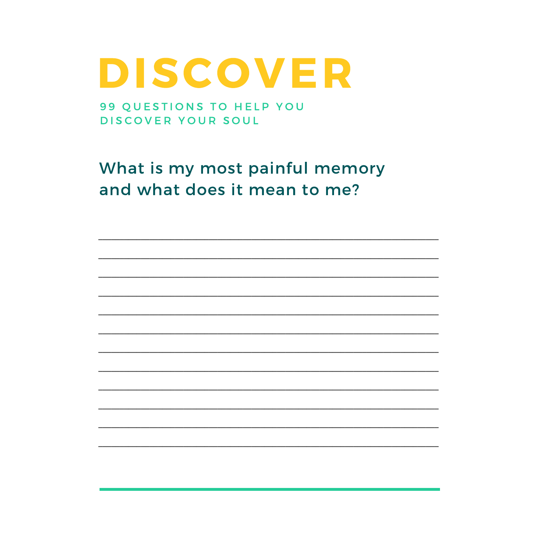99 QUESTIONS TO HELP YOU DISCOVER YOUR SOUL

What is my most painful memory and what does it mean to me?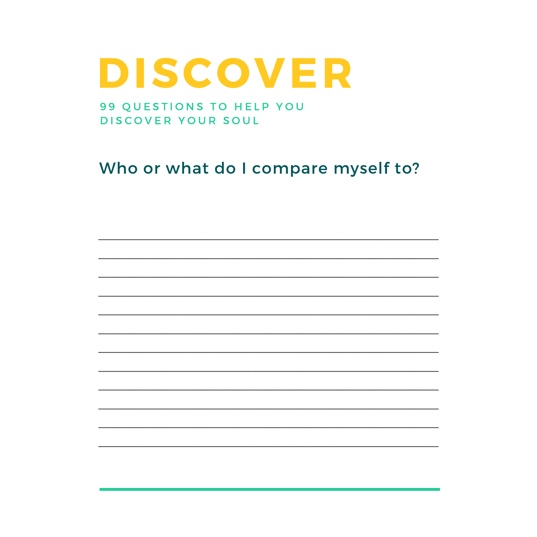99 QUESTIONS TO HELP YOU DISCOVER YOUR SOUL

Who or what do I compare myself to?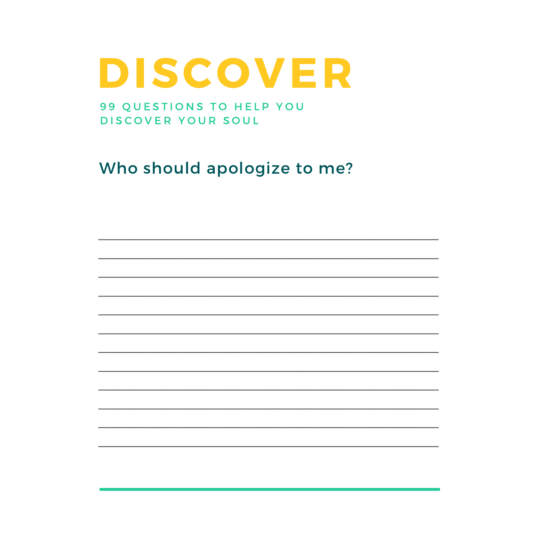99 QUESTIONS TO HELP YOU DISCOVER YOUR SOUL

Who should apologize to me?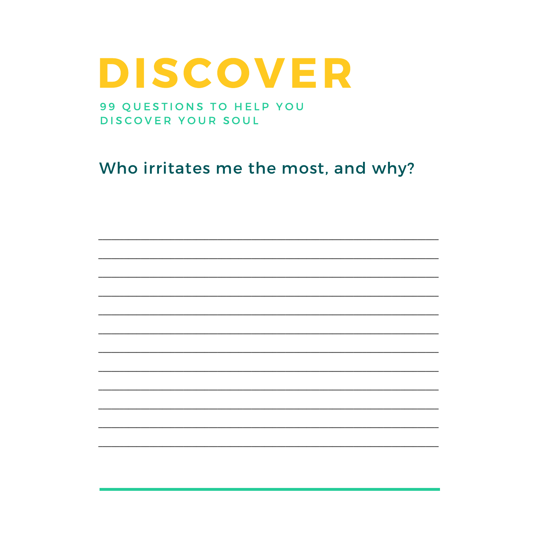#### 99 QUESTIONS TO HELP YOU DISCOVER YOUR SOUL

#### Who irritates me the most, and why?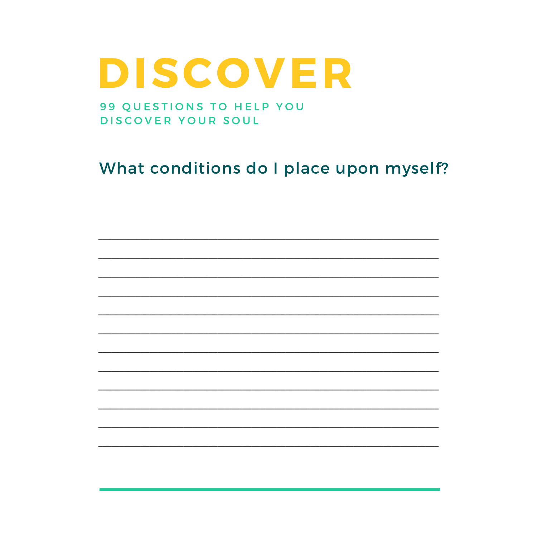#### 99 QUESTIONS TO HELP YOU DISCOVER YOUR SOUL

#### What conditions do I place upon myself?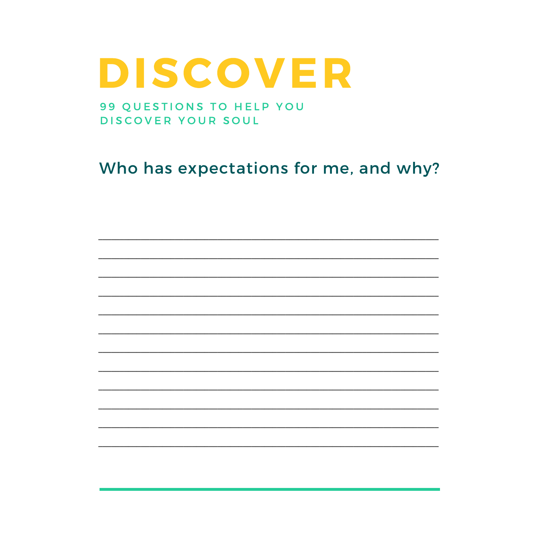99 QUESTIONS TO HELP YOU DISCOVER YOUR SOUL

Who has expectations for me, and why?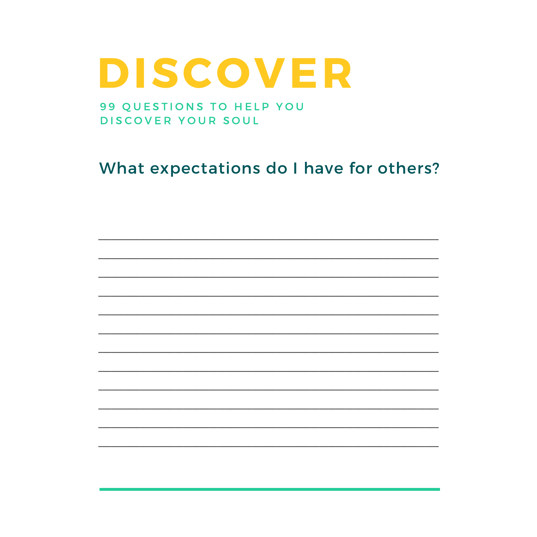#### 99 QUESTIONS TO HELP YOU DISCOVER YOUR SOUL

#### What expectations do I have for others?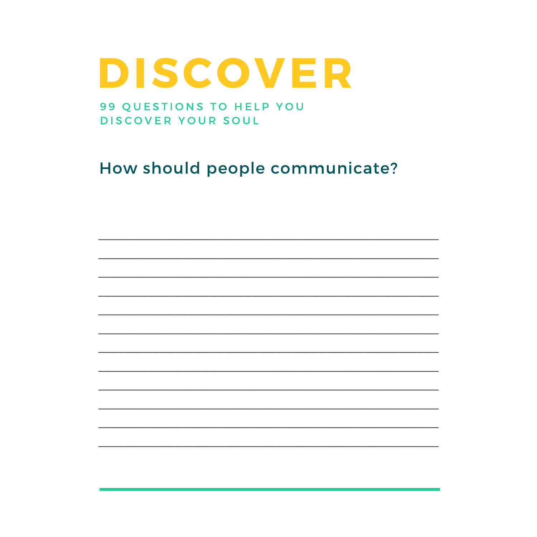99 QUESTIONS TO HELP YOU DISCOVER YOUR SOUL

How should people communicate?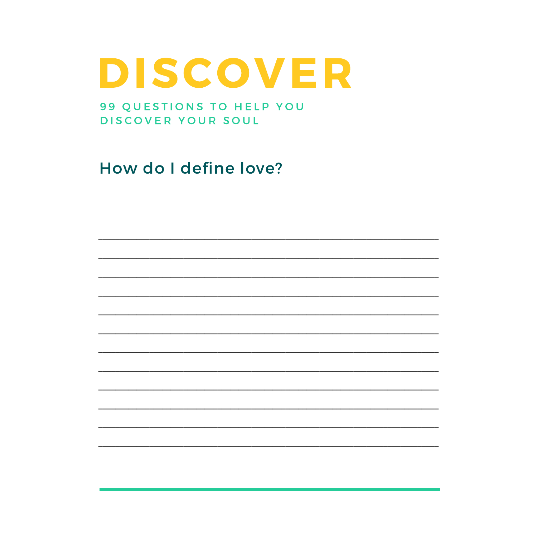99 QUESTIONS TO HELP YOU DISCOVER YOUR SOUL

How do I define love?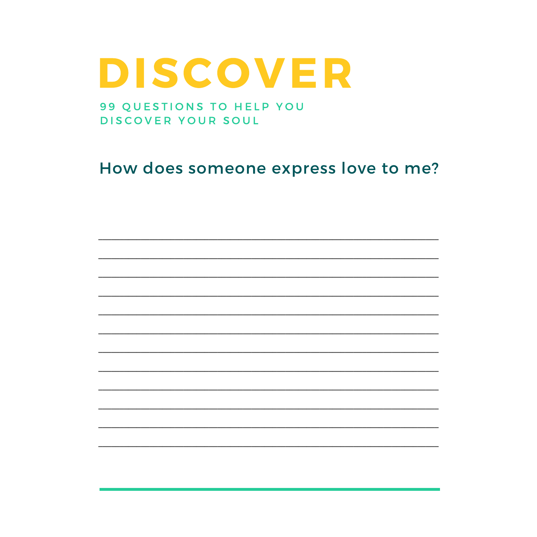#### 99 QUESTIONS TO HELP YOU DISCOVER YOUR SOUL

#### How does someone express love to me?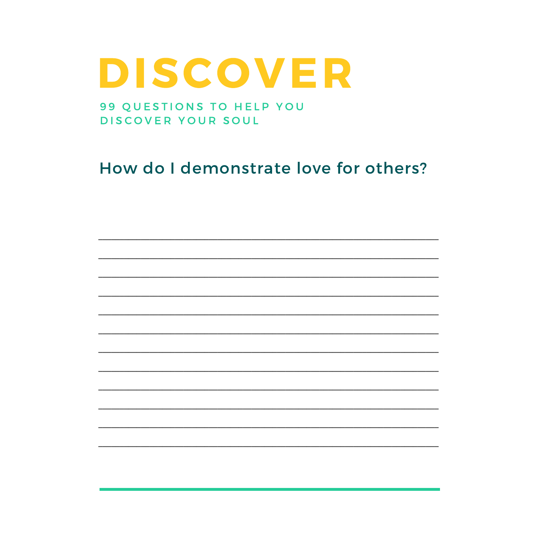99 QUESTIONS TO HELP YOU DISCOVER YOUR SOUL

How do I demonstrate love for others?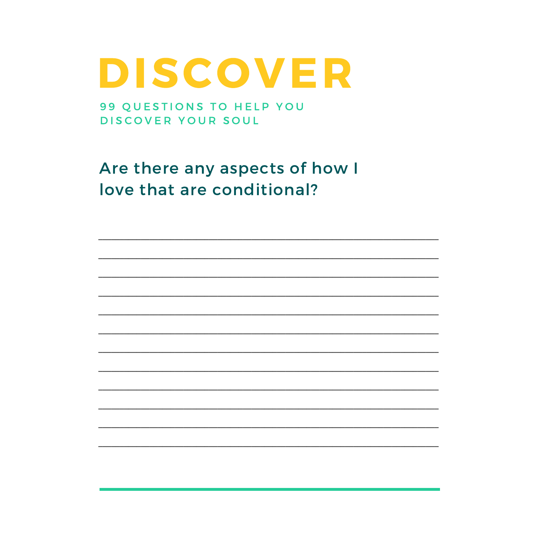99 QUESTIONS TO HELP YOU DISCOVER YOUR SOUL

Are there any aspects of how I love that are conditional?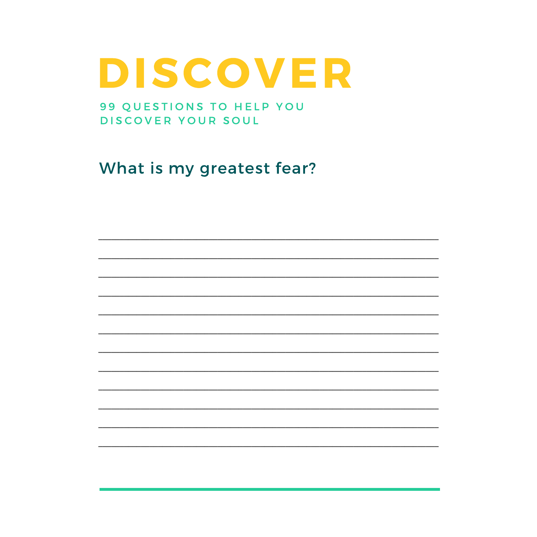99 QUESTIONS TO HELP YOU DISCOVER YOUR SOUL

What is my greatest fear?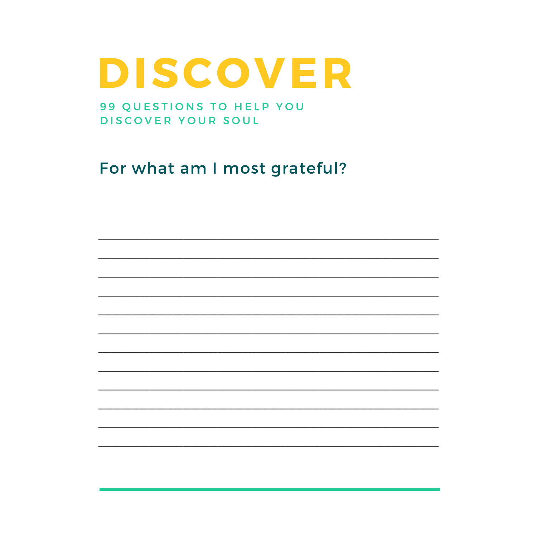99 QUESTIONS TO HELP YOU DISCOVER YOUR SOUL

For what am I most grateful?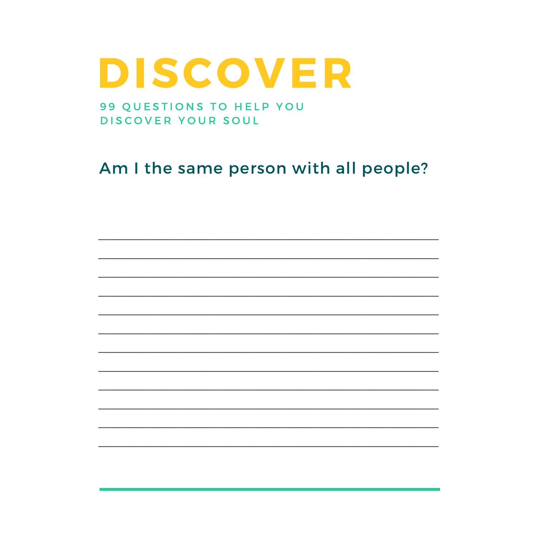99 QUESTIONS TO HELP YOU DISCOVER YOUR SOUL

Am I the same person with all people?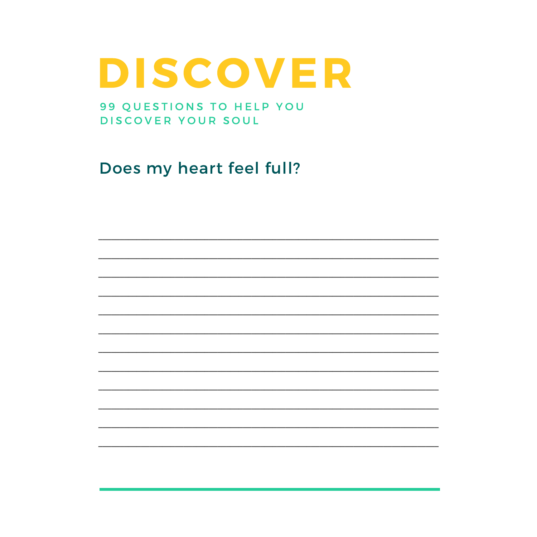99 QUESTIONS TO HELP YOU DISCOVER YOUR SOUL

Does my heart feel full?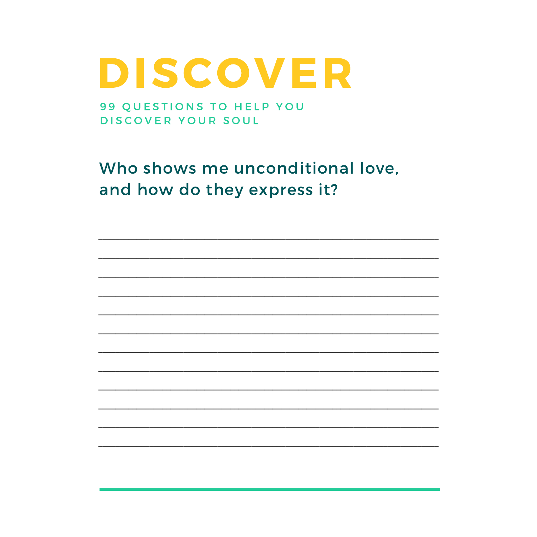99 QUESTIONS TO HELP YOU DISCOVER YOUR SOUL

Who shows me unconditional love, and how do they express it?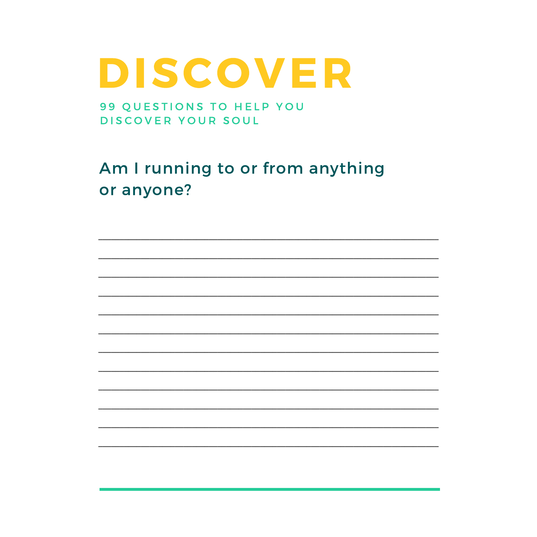99 QUESTIONS TO HELP YOU DISCOVER YOUR SOUL

Am I running to or from anything or anyone?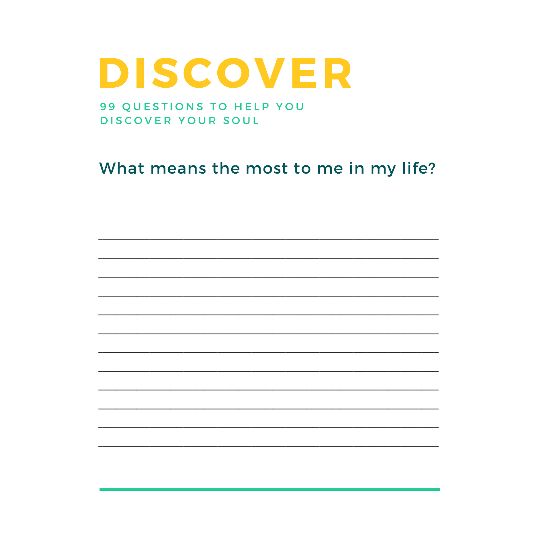#### 99 QUESTIONS TO HELP YOU DISCOVER YOUR SOUL

#### What means the most to me in my life?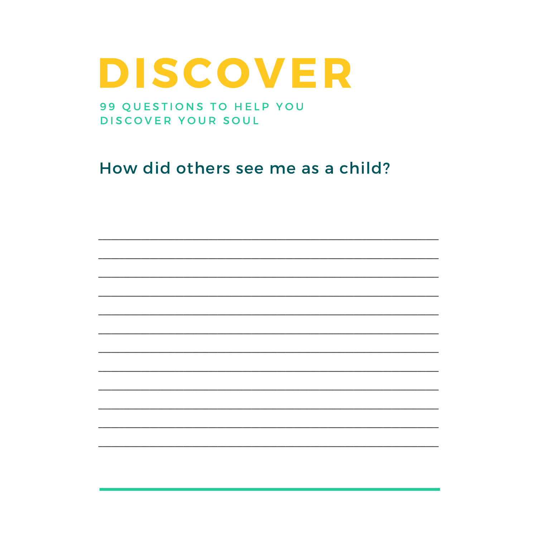#### 99 QUESTIONS TO HELP YOU DISCOVER YOUR SOUL

#### How did others see me as a child?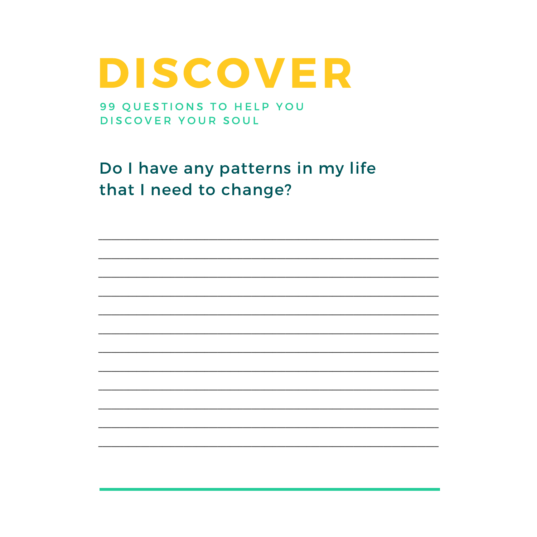99 QUESTIONS TO HELP YOU DISCOVER YOUR SOUL

Do I have any patterns in my life that I need to change?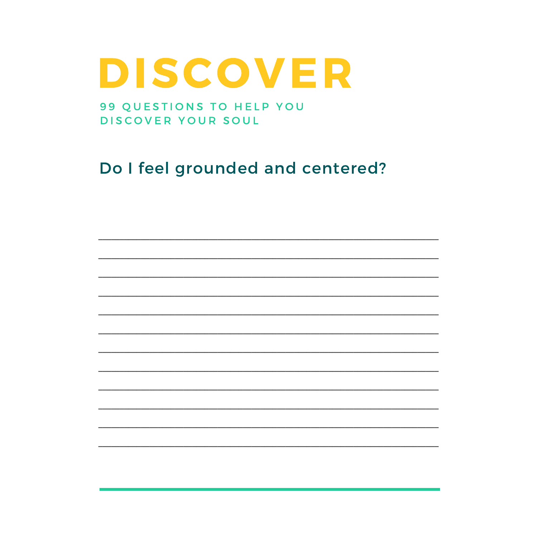99 QUESTIONS TO HELP YOU DISCOVER YOUR SOUL

Do I feel grounded and centered?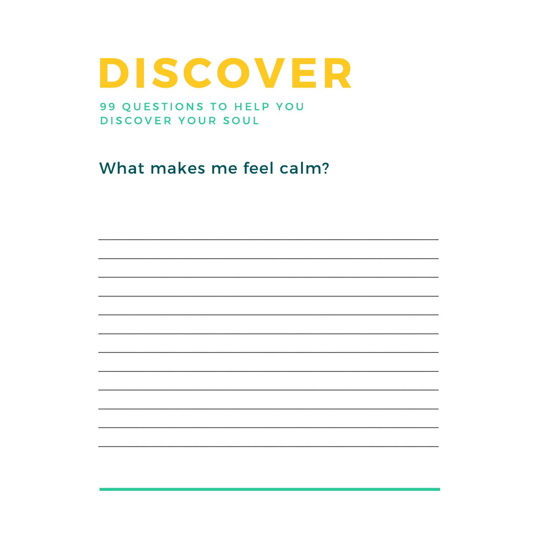99 QUESTIONS TO HELP YOU DISCOVER YOUR SOUL

What makes me feel calm?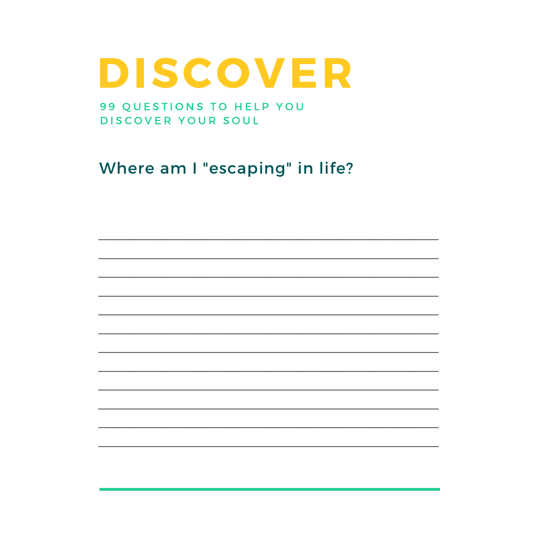#### 99 QUESTIONS TO HELP YOU DISCOVER YOUR SOUL

Where am I "escaping" in life?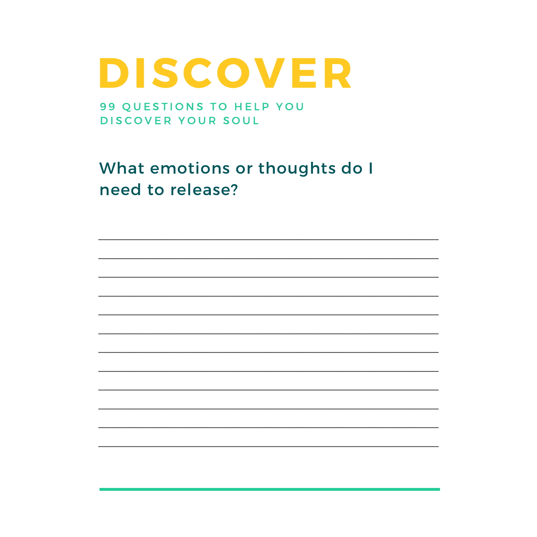99 QUESTIONS TO HELP YOU DISCOVER YOUR SOUL

What emotions or thoughts do I need to release?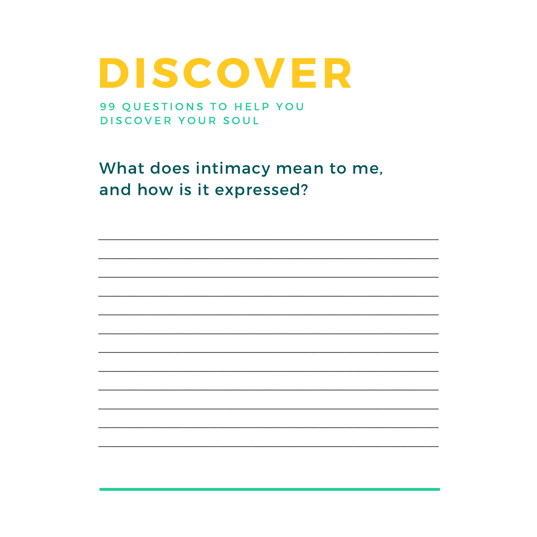99 QUESTIONS TO HELP YOU DISCOVER YOUR SOUL

What does intimacy mean to me, and how is it expressed?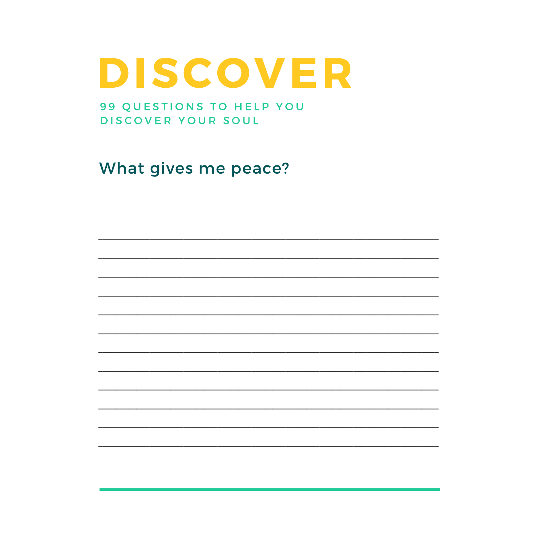99 QUESTIONS TO HELP YOU DISCOVER YOUR SOUL

What gives me peace?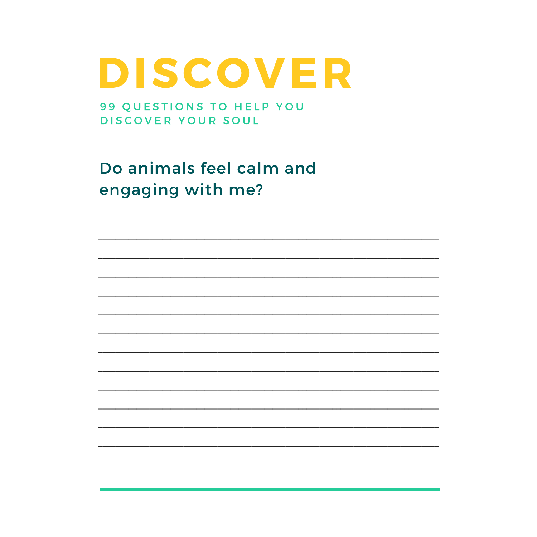99 QUESTIONS TO HELP YOU DISCOVER YOUR SOUL

Do animals feel calm and engaging with me?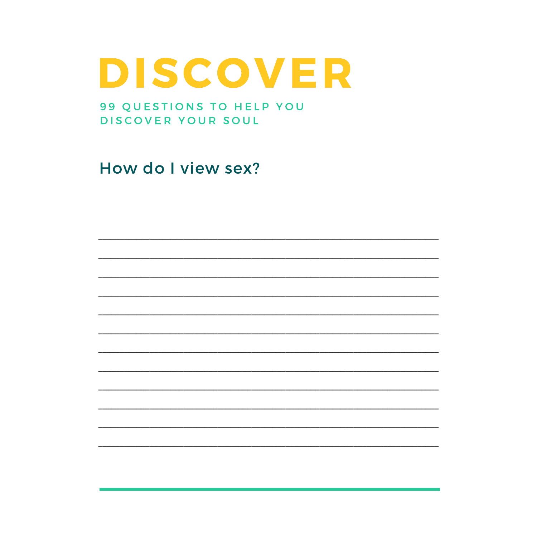99 QUESTIONS TO HELP YOU DISCOVER YOUR SOUL

How do I view sex?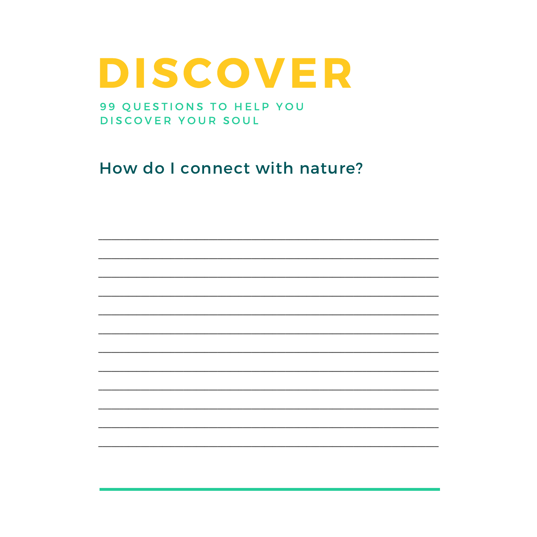99 QUESTIONS TO HELP YOU DISCOVER YOUR SOUL

How do I connect with nature?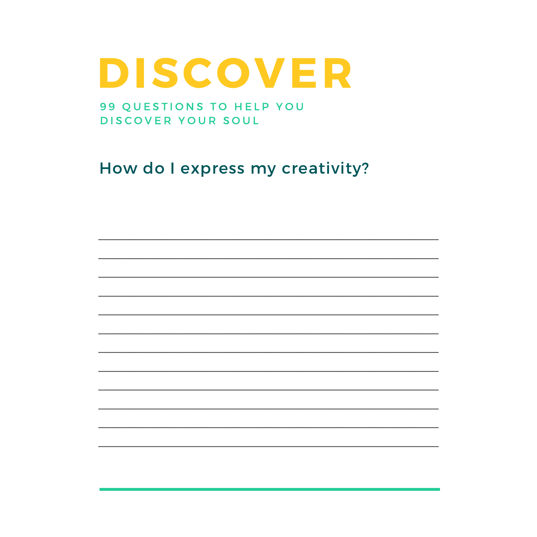99 QUESTIONS TO HELP YOU DISCOVER YOUR SOUL

How do I express my creativity?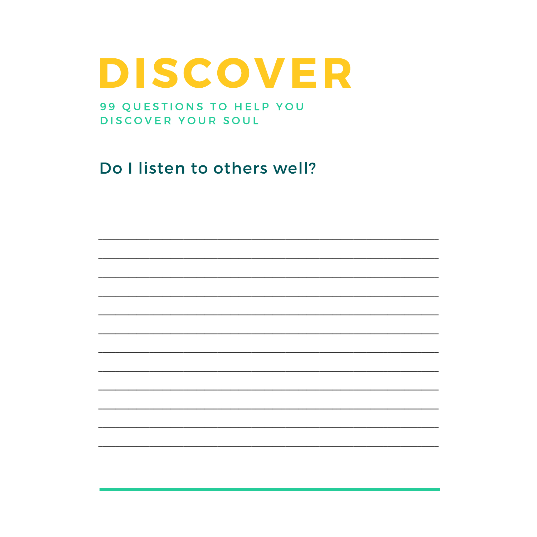99 QUESTIONS TO HELP YOU DISCOVER YOUR SOUL

Do I listen to others well?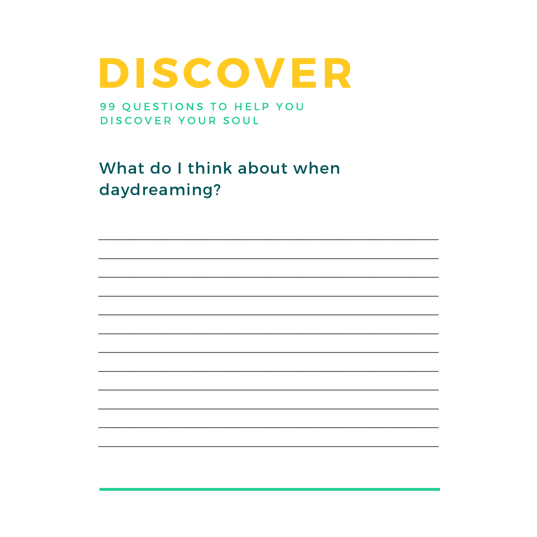99 QUESTIONS TO HELP YOU DISCOVER YOUR SOUL

What do I think about when daydreaming?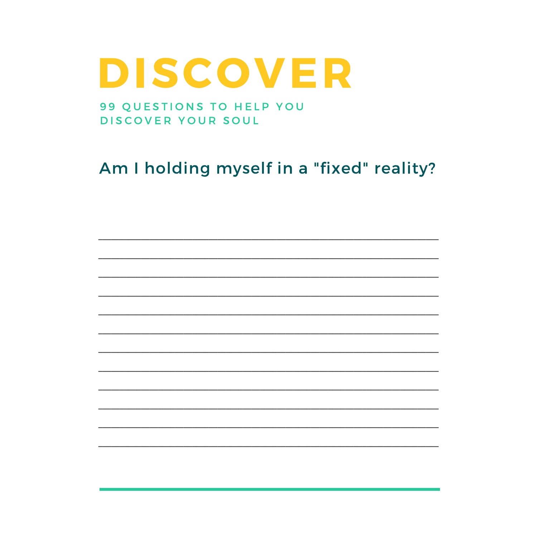99 QUESTIONS TO HELP YOU DISCOVER YOUR SOUL

#### Am I holding myself in a "fixed" reality?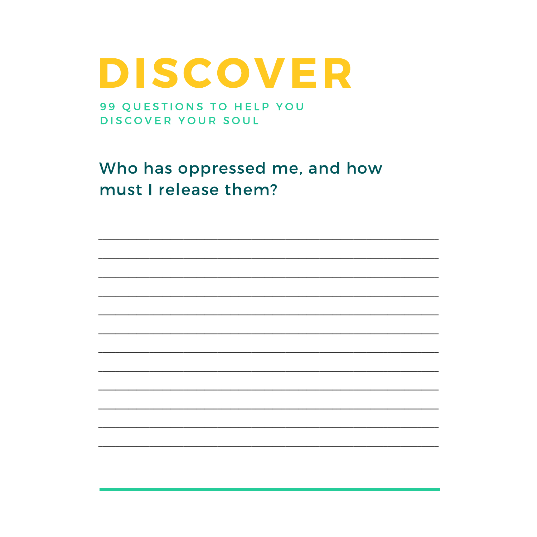99 QUESTIONS TO HELP YOU DISCOVER YOUR SOUL

Who has oppressed me, and how must I release them?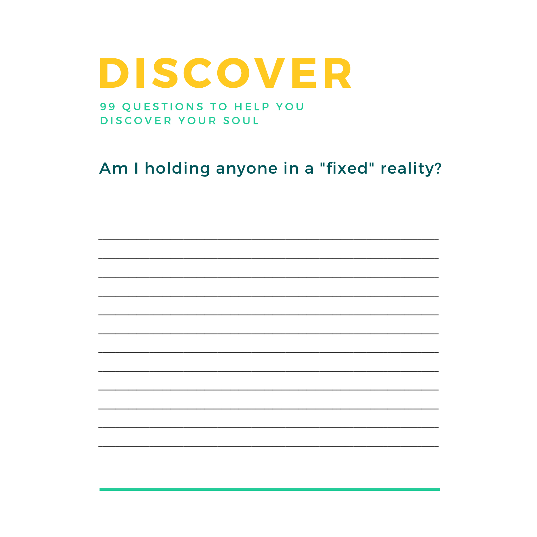99 QUESTIONS TO HELP YOU DISCOVER YOUR SOUL

Am I holding anyone in a "fixed" reality?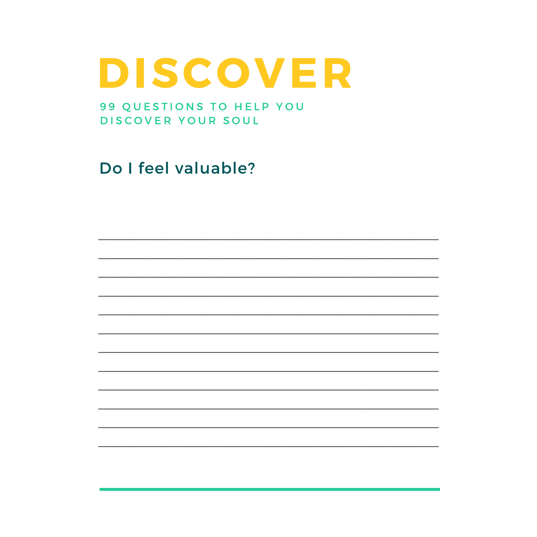99 QUESTIONS TO HELP YOU DISCOVER YOUR SOUL

Do I feel valuable?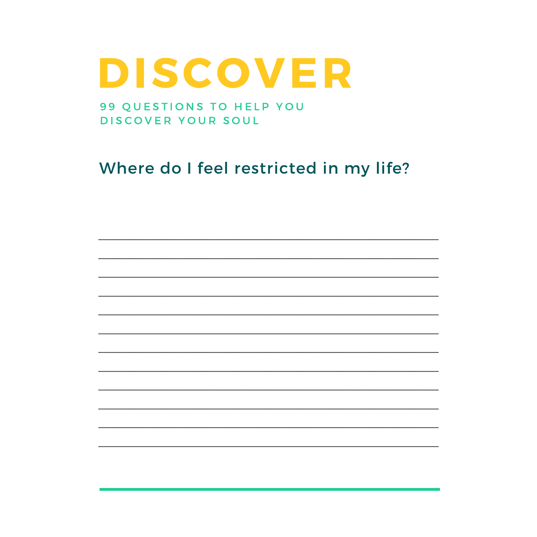99 QUESTIONS TO HELP YOU DISCOVER YOUR SOUL

#### Where do I feel restricted in my life?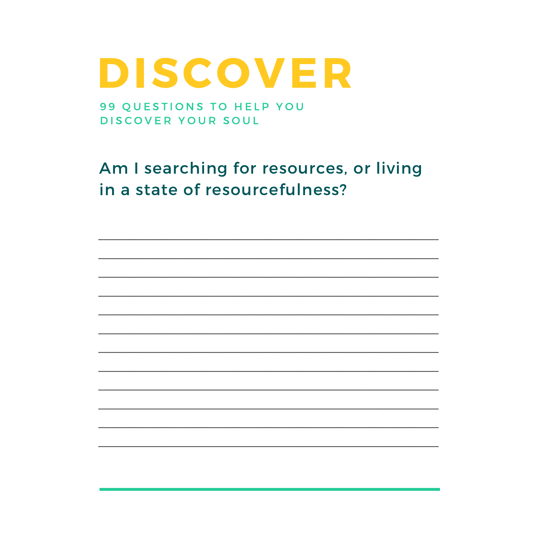99 QUESTIONS TO HELP YOU DISCOVER YOUR SOUL

Am I searching for resources, or living in a state of resourcefulness?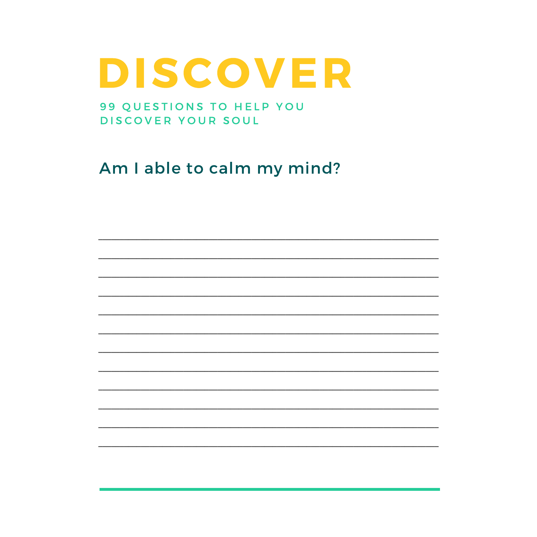99 QUESTIONS TO HELP YOU DISCOVER YOUR SOUL

Am I able to calm my mind?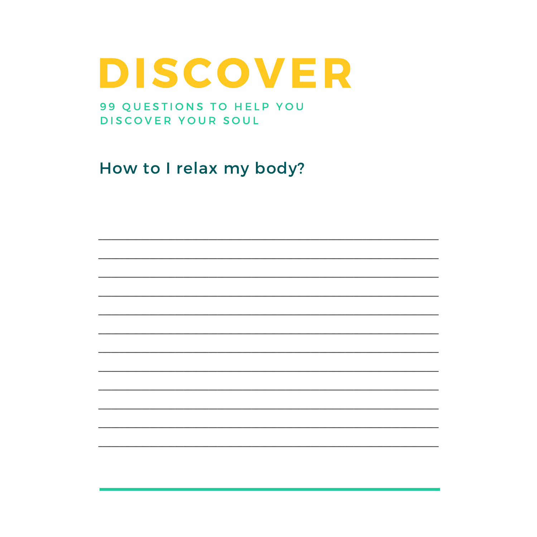99 QUESTIONS TO HELP YOU DISCOVER YOUR SOUL

How to I relax my body?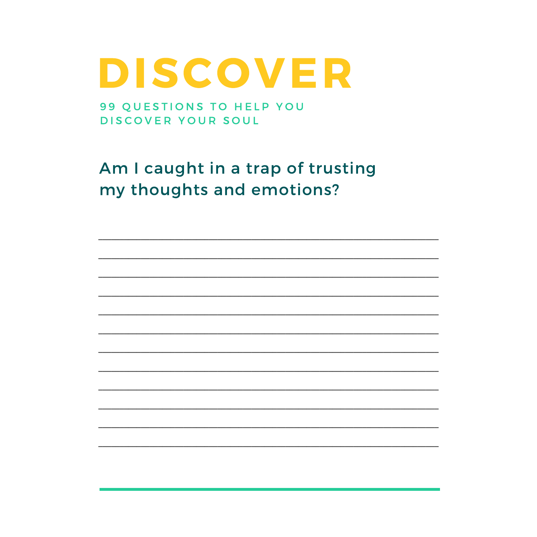99 QUESTIONS TO HELP YOU DISCOVER YOUR SOUL

Am I caught in a trap of trusting my thoughts and emotions?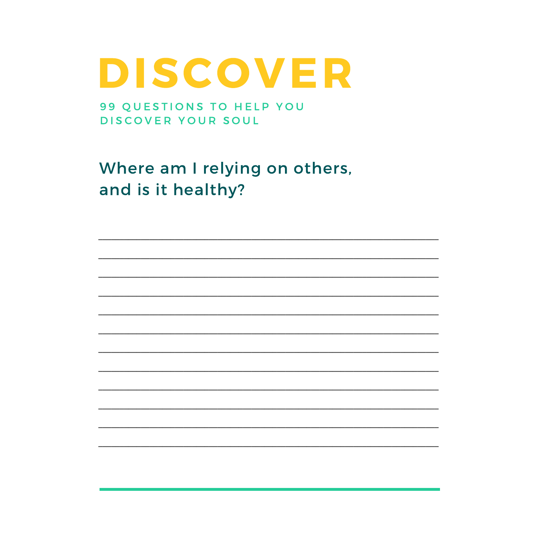99 QUESTIONS TO HELP YOU DISCOVER YOUR SOUL

Where am I relying on others, and is it healthy?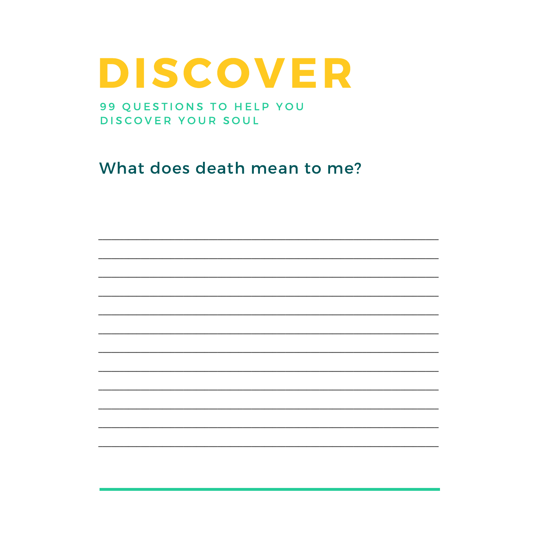99 QUESTIONS TO HELP YOU DISCOVER YOUR SOUL

What does death mean to me?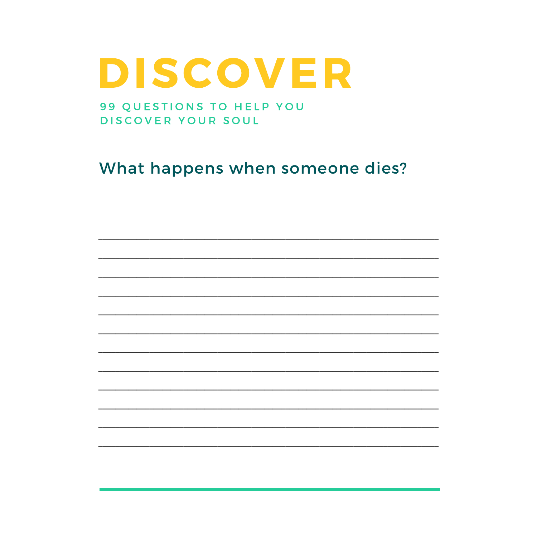99 QUESTIONS TO HELP YOU DISCOVER YOUR SOUL

What happens when someone dies?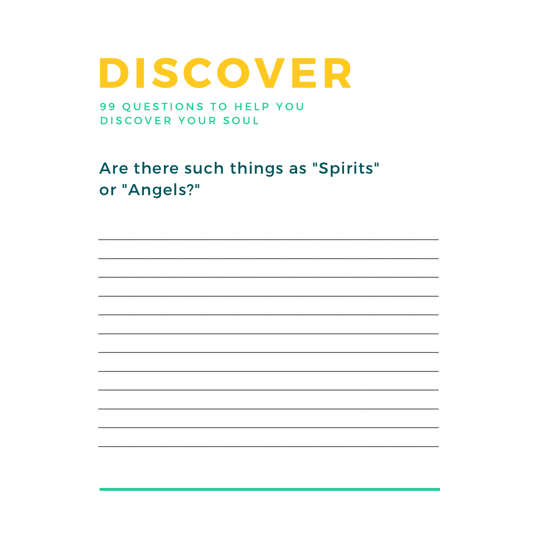99 QUESTIONS TO HELP YOU DISCOVER YOUR SOUL

Are there such things as "Spirits" or "Angels?"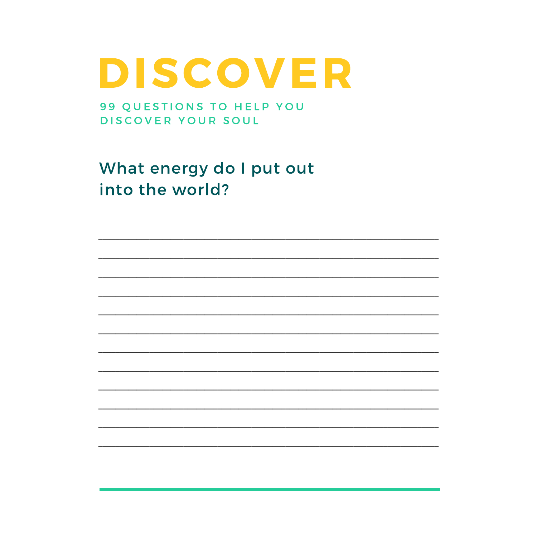99 QUESTIONS TO HELP YOU DISCOVER YOUR SOUL

What energy do I put out into the world?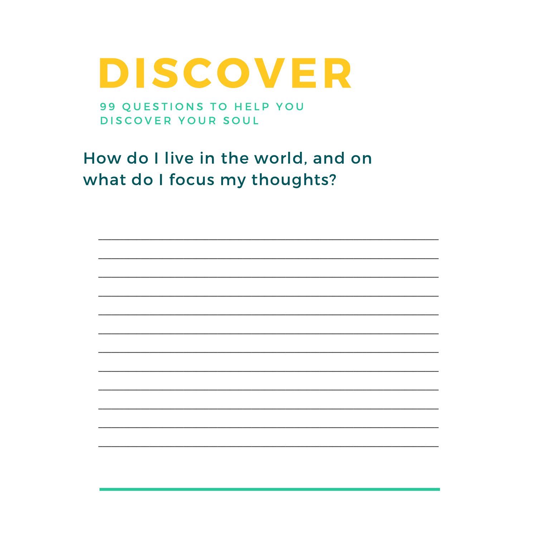99 QUESTIONS TO HELP YOU DISCOVER YOUR SOUL

How do I live in the world, and on what do I focus my thoughts?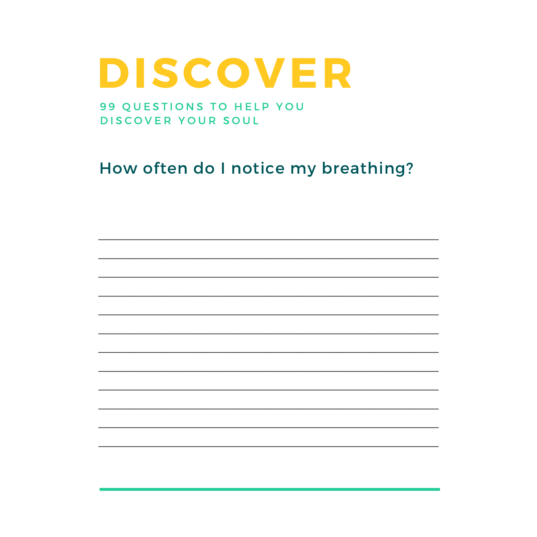99 QUESTIONS TO HELP YOU DISCOVER YOUR SOUL

#### How often do I notice my breathing?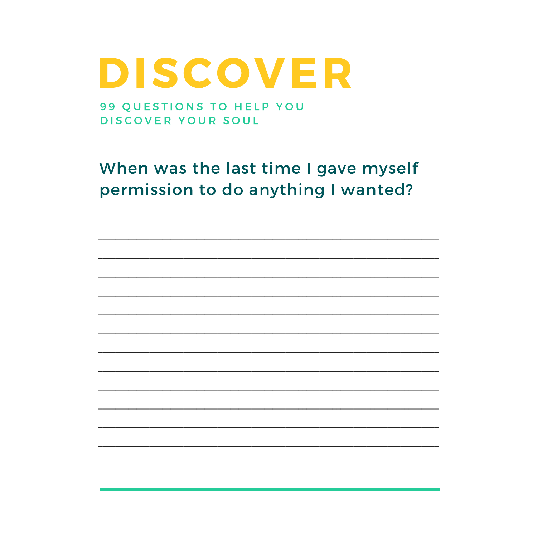99 QUESTIONS TO HELP YOU DISCOVER YOUR SOUL

When was the last time I gave myself permission to do anything I wanted?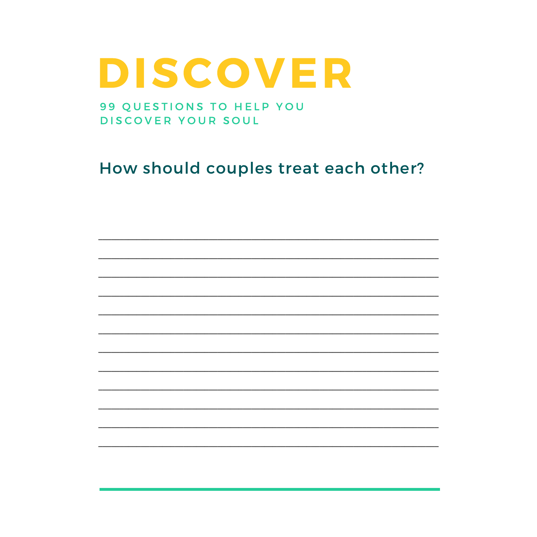99 QUESTIONS TO HELP YOU DISCOVER YOUR SOUL

How should couples treat each other?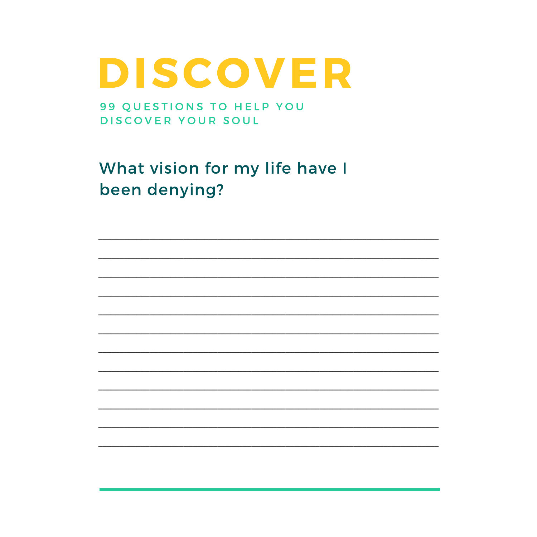99 QUESTIONS TO HELP YOU DISCOVER YOUR SOUL

What vision for my life have I been denying?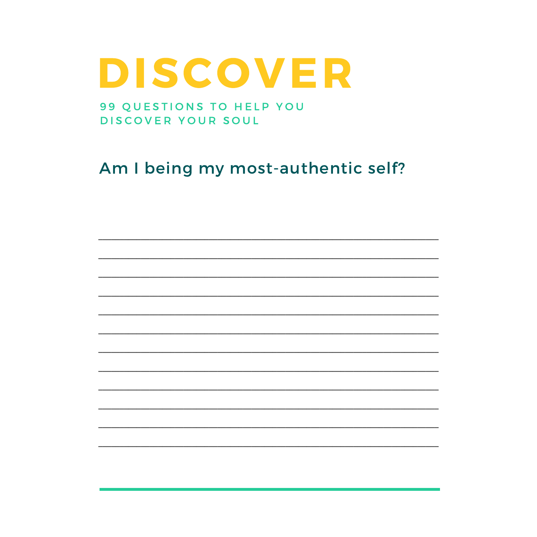99 QUESTIONS TO HELP YOU DISCOVER YOUR SOUL

Am I being my most-authentic self?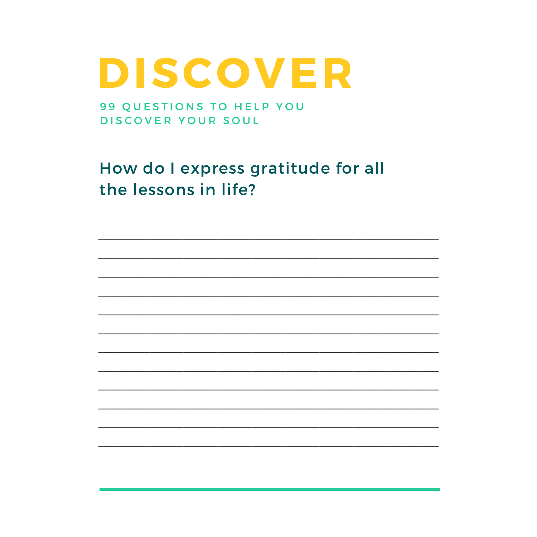99 QUESTIONS TO HELP YOU DISCOVER YOUR SOUL

How do I express gratitude for all the lessons in life?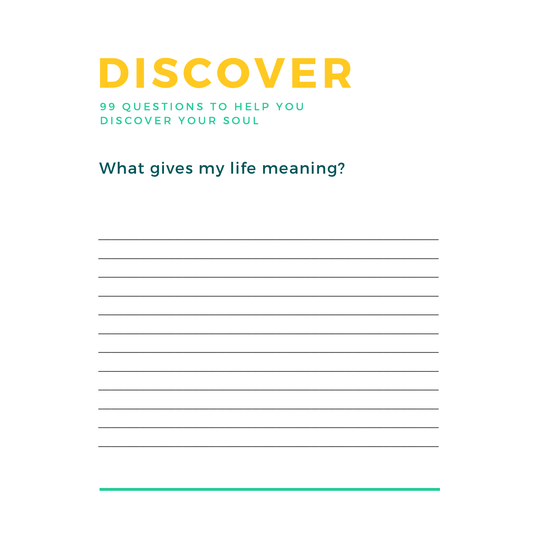99 QUESTIONS TO HELP YOU DISCOVER YOUR SOUL

What gives my life meaning?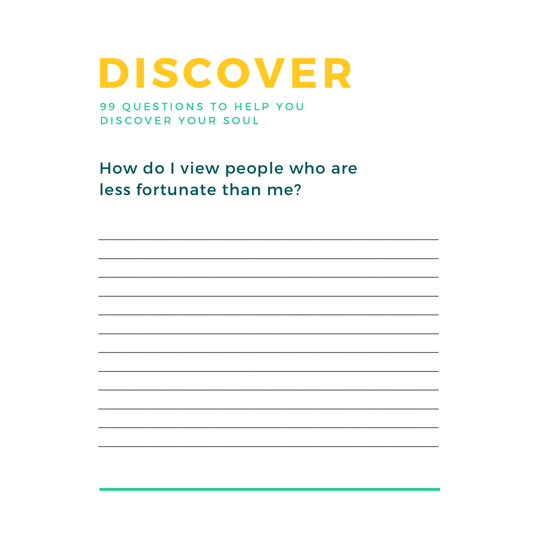99 QUESTIONS TO HELP YOU DISCOVER YOUR SOUL

How do I view people who are less fortunate than me?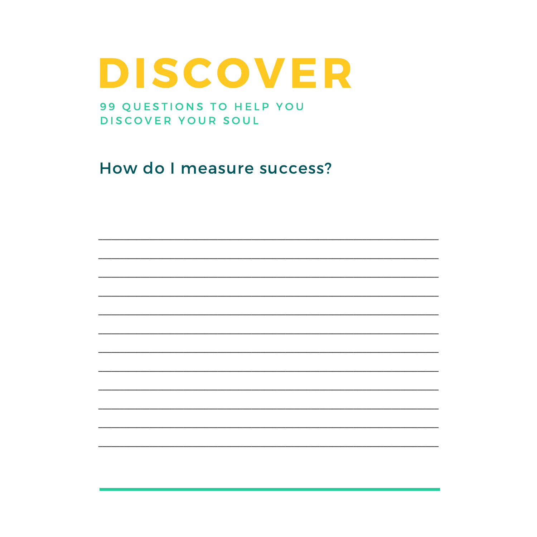99 QUESTIONS TO HELP YOU DISCOVER YOUR SOUL

How do I measure success?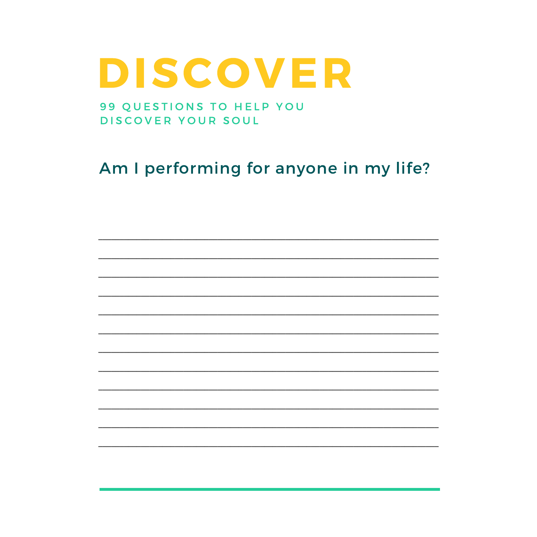99 QUESTIONS TO HELP YOU DISCOVER YOUR SOUL

### Am I performing for anyone in my life?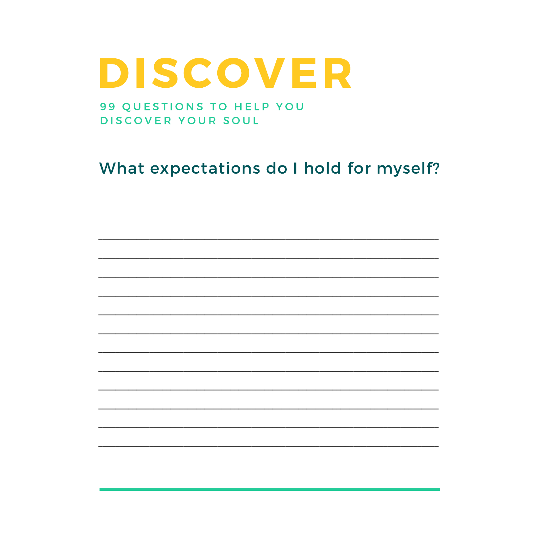99 QUESTIONS TO HELP YOU DISCOVER YOUR SOUL

### What expectations do I hold for myself?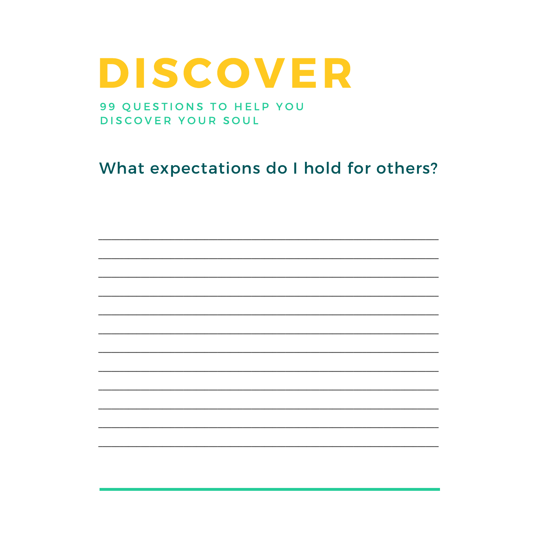#### 99 QUESTIONS TO HELP YOU DISCOVER YOUR SOUL

### What expectations do I hold for others?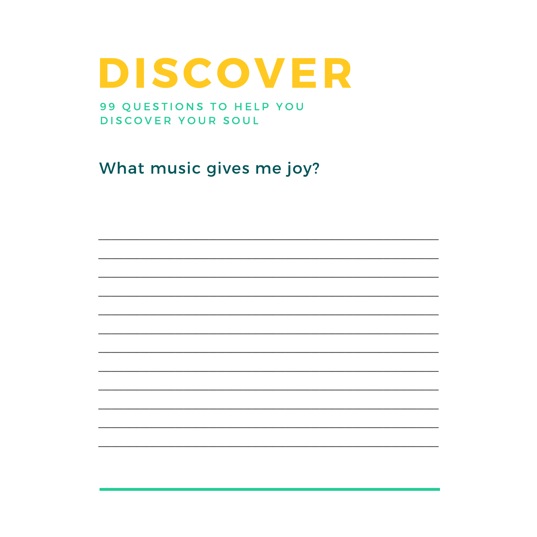99 QUESTIONS TO HELP YOU DISCOVER YOUR SOUL

What music gives me joy?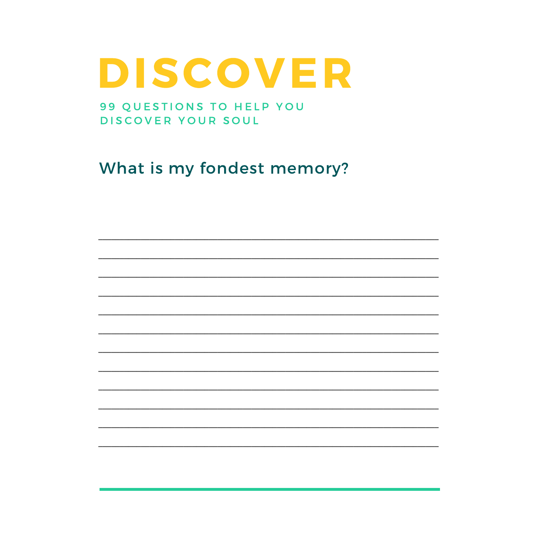99 QUESTIONS TO HELP YOU DISCOVER YOUR SOUL

What is my fondest memory?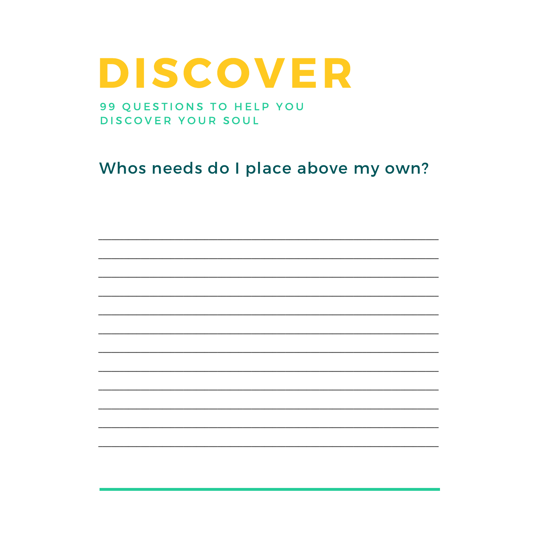#### 99 QUESTIONS TO HELP YOU DISCOVER YOUR SOUL

### Whos needs do I place above my own?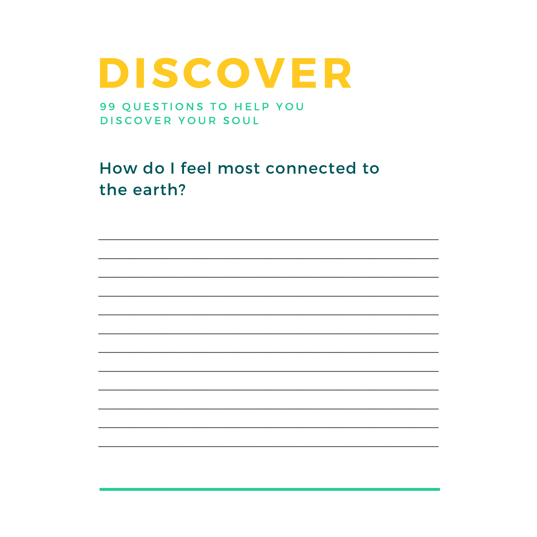99 QUESTIONS TO HELP YOU DISCOVER YOUR SOUL

How do I feel most connected to the earth?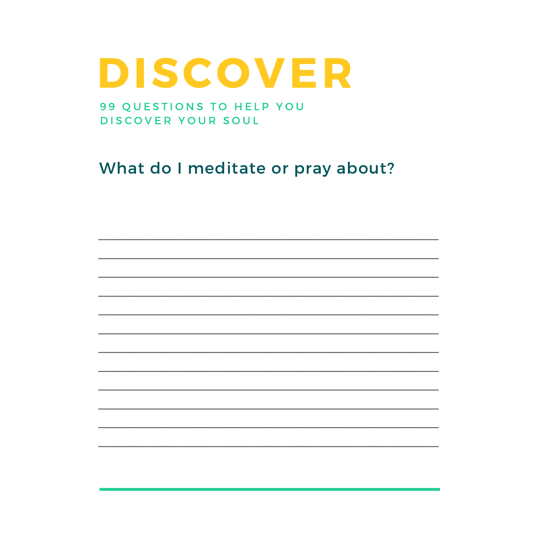99 QUESTIONS TO HELP YOU DISCOVER YOUR SOUL

What do I meditate or pray about?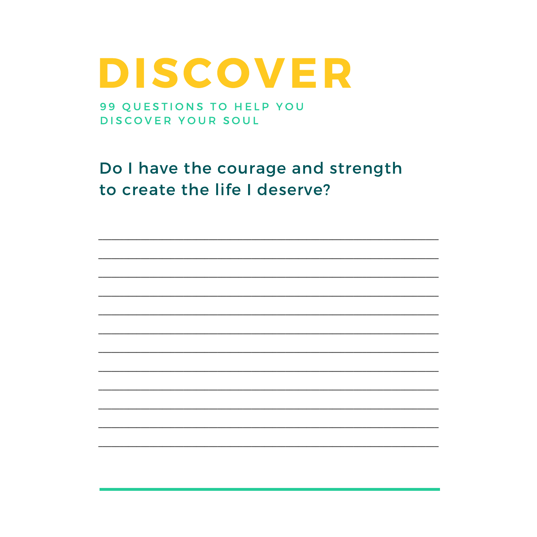99 QUESTIONS TO HELP YOU DISCOVER YOUR SOUL

Do I have the courage and strength to create the life I deserve?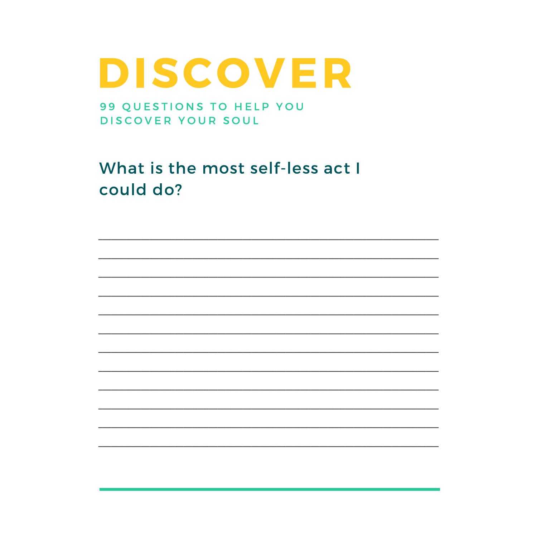99 QUESTIONS TO HELP YOU DISCOVER YOUR SOUL

What is the most self-less act I could do?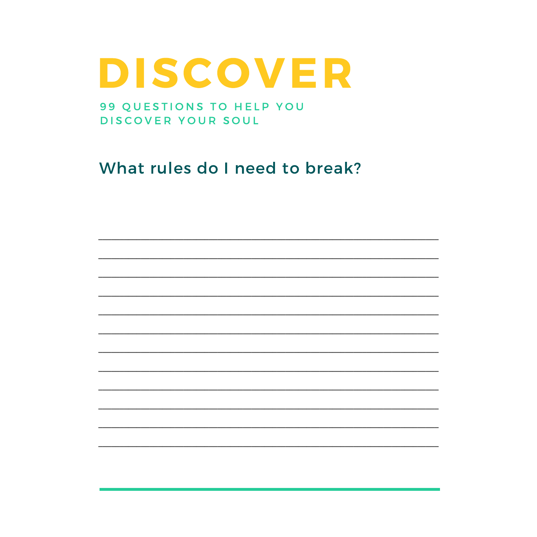99 QUESTIONS TO HELP YOU DISCOVER YOUR SOUL

What rules do I need to break?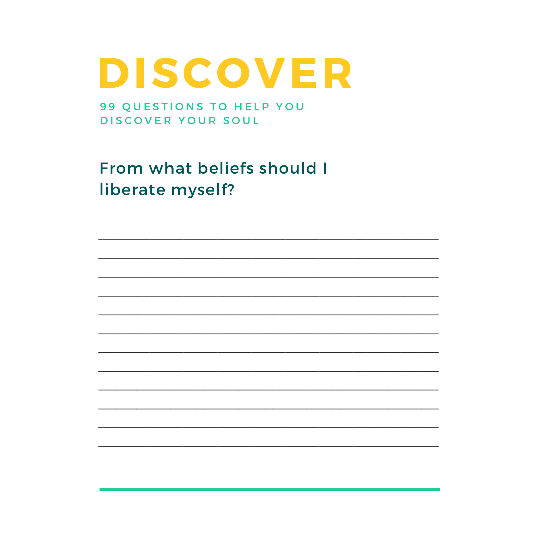99 QUESTIONS TO HELP YOU DISCOVER YOUR SOUL

From what beliefs should I liberate myself?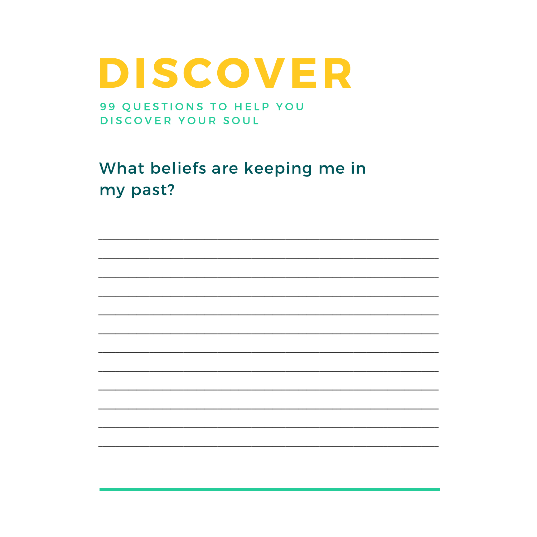99 QUESTIONS TO HELP YOU DISCOVER YOUR SOUL

What beliefs are keeping me in my past?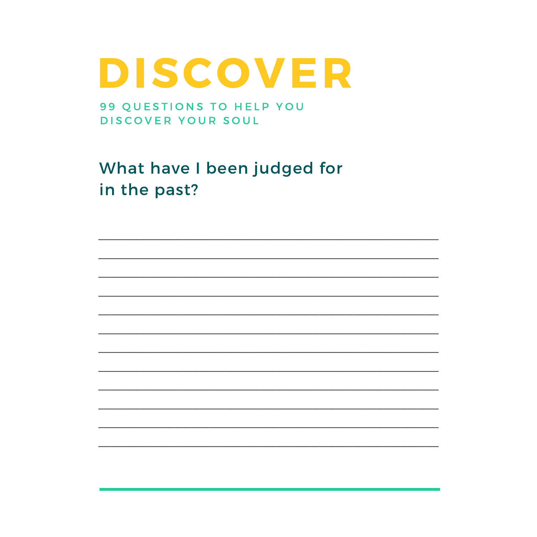99 QUESTIONS TO HELP YOU DISCOVER YOUR SOUL

What have I been judged for in the past?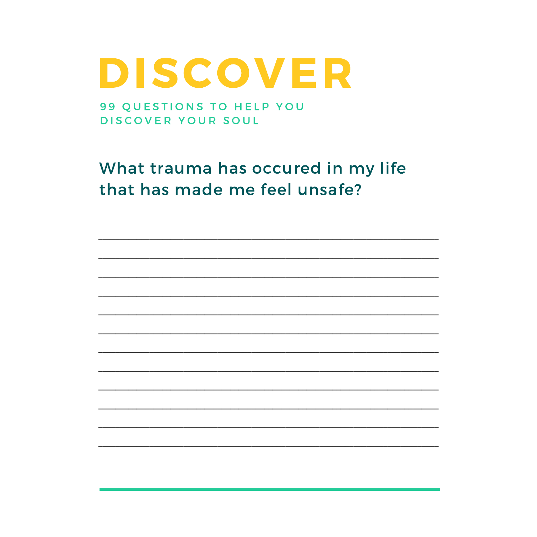99 QUESTIONS TO HELP YOU DISCOVER YOUR SOUL

What trauma has occured in my life that has made me feel unsafe?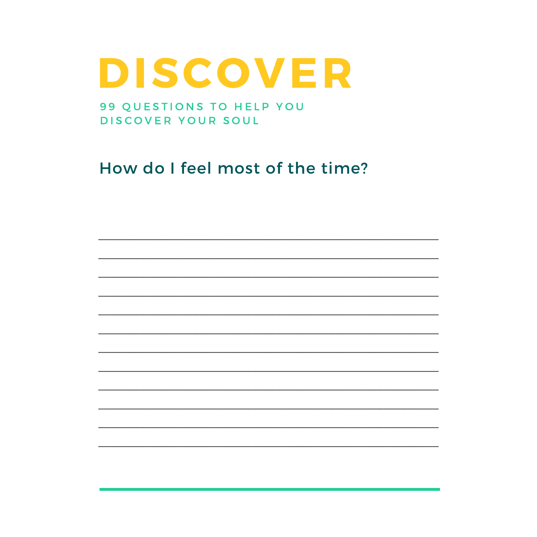99 QUESTIONS TO HELP YOU DISCOVER YOUR SOUL

How do I feel most of the time?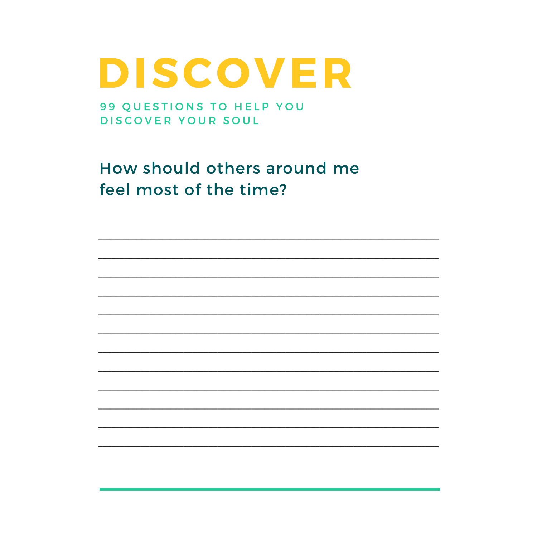99 QUESTIONS TO HELP YOU DISCOVER YOUR SOUL

How should others around me feel most of the time?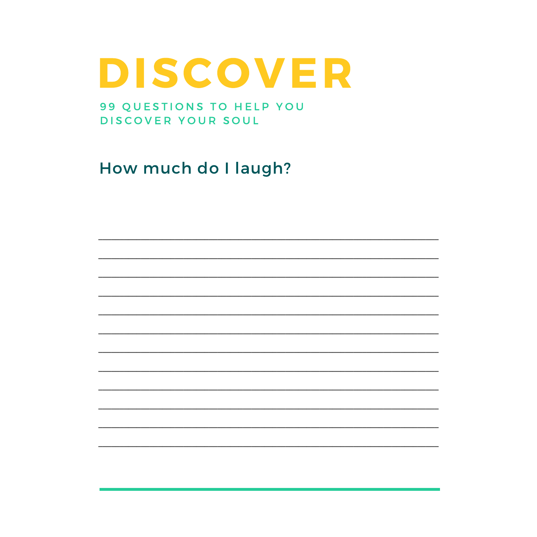99 QUESTIONS TO HELP YOU DISCOVER YOUR SOUL

How much do I laugh?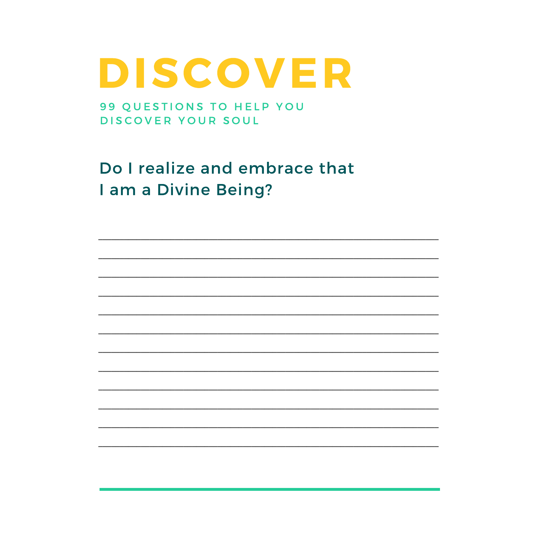99 QUESTIONS TO HELP YOU DISCOVER YOUR SOUL

Do I realize and embrace that I am a Divine Being?